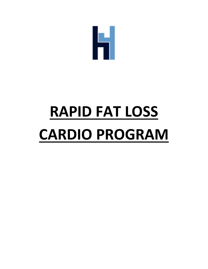

# **RAPID FAT LOSS CARDIO PROGRAM**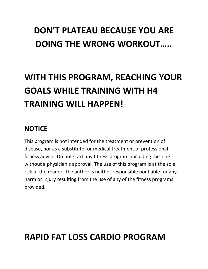# **DON'T PLATEAU BECAUSE YOU ARE DOING THE WRONG WORKOUT…..**

# **WITH THIS PROGRAM, REACHING YOUR GOALS WHILE TRAINING WITH H4 TRAINING WILL HAPPEN!**

## **NOTICE**

This program is not intended for the treatment or prevention of disease, nor as a substitute for medical treatment of professional fitness advice. Do not start any fitness program, including this one without a physician's approval. The use of this program is at the sole risk of the reader. The author is neither responsible nor liable for any harm or injury resulting from the use of any of the fitness programs provided.

## **RAPID FAT LOSS CARDIO PROGRAM**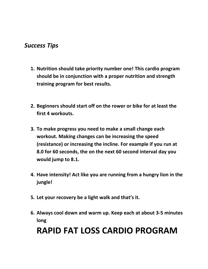### *Success Tips*

- **1. Nutrition should take priority number one! This cardio program should be in conjunction with a proper nutrition and strength training program for best results.**
- **2. Beginners should start off on the rower or bike for at least the first 4 workouts.**
- **3. To make progress you need to make a small change each workout. Making changes can be increasing the speed (resistance) or increasing the incline. For example if you run at 8.0 for 60 seconds, the on the next 60 second interval day you would jump to 8.1.**
- **4. Have intensity! Act like you are running from a hungry lion in the jungle!**
- **5. Let your recovery be a light walk and that's it.**
- **6. Always cool down and warm up. Keep each at about 3-5 minutes long**

# **RAPID FAT LOSS CARDIO PROGRAM**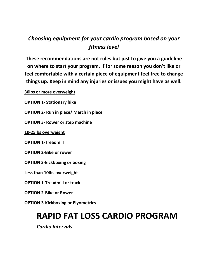## *Choosing equipment for your cardio program based on your fitness level*

**These recommendations are not rules but just to give you a guideline on where to start your program. If for some reason you don't like or feel comfortable with a certain piece of equipment feel free to change things up. Keep in mind any injuries or issues you might have as well.**

**30lbs or more overweight** 

**OPTION 1- Stationary bike** 

**OPTION 2- Run in place/ March in place**

**OPTION 3- Rower or step machine**

**10-25lbs overweight**

**OPTION 1-Treadmill**

**OPTION 2-Bike or rower**

**OPTION 3-kickboxing or boxing**

**Less than 10lbs overweight**

**OPTION 1-Treadmill or track**

**OPTION 2-Bike or Rower**

**OPTION 3-Kickboxing or Plyometrics**

## **RAPID FAT LOSS CARDIO PROGRAM**

*Cardio Intervals*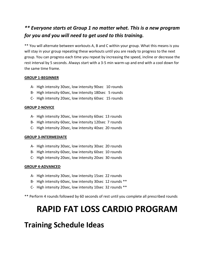#### *\*\* Everyone starts at Group 1 no matter what. This is a new program for you and you will need to get used to this training.*

\*\* You will alternate between workouts A, B and C within your group. What this means is you will stay in your group repeating these workouts until you are ready to progress to the next group. You can progress each time you repeat by increasing the speed, incline or decrease the rest interval by 5 seconds. Always start with a 3-5 min warm-up and end with a cool down for the same time frame.

#### **GROUP 1-BEGINNER**

- A- High intensity 30sec, low intensity 90sec 10 rounds
- B- High intensity 60sec, low intensity 180sec 5 rounds
- C- High intensity 20sec, low intensity 60sec 15 rounds

#### **GROUP 2-NOVICE**

- A- High intensity 30sec, low intensity 60sec 13 rounds
- B- High intensity 60sec, low intensity 120sec 7 rounds
- C- High intensity 20sec, low intensity 40sec 20 rounds

#### **GROUP 3-INTERMEDIATE**

- A- High intensity 30sec, low intensity 30sec 20 rounds
- B- High intensity 60sec, low intensity 60sec 10 rounds
- C- High intensity 20sec, low intensity 20sec 30 rounds

#### **GROUP 4-ADVANCED**

- A- High intensity 30sec, low intensity 15sec 22 rounds
- B- High intensity 60sec, low intensity 30sec 12 rounds \*\*
- C- High intensity 20sec, low intensity 10sec 32 rounds \*\*

\*\* Perform 4 rounds followed by 60 seconds of rest until you complete all prescribed rounds

## **RAPID FAT LOSS CARDIO PROGRAM**

## **Training Schedule Ideas**